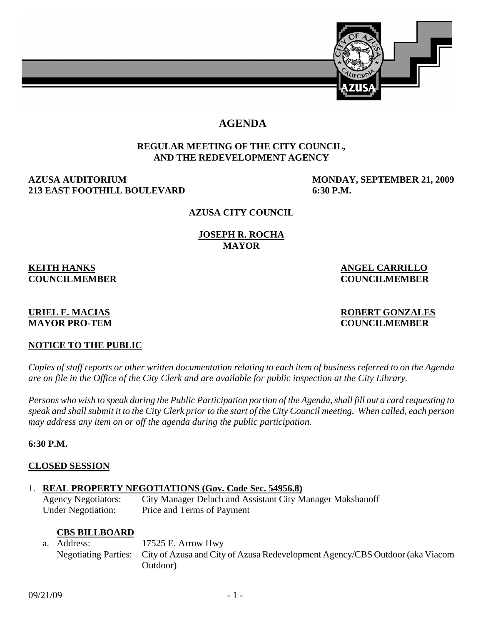

# **AGENDA**

### **REGULAR MEETING OF THE CITY COUNCIL, AND THE REDEVELOPMENT AGENCY**

### **AZUSA AUDITORIUM MONDAY, SEPTEMBER 21, 2009 213 EAST FOOTHILL BOULEVARD 6:30 P.M.**

#### **AZUSA CITY COUNCIL**

#### **JOSEPH R. ROCHA MAYOR**

# **KEITH HANKS** ANGEL CARRILLO

**COUNCILMEMBER COUNCILMEMBER** 

#### **URIEL E. MACIAS ROBERT GONZALES MAYOR PRO-TEM COUNCILMEMBER**

### **NOTICE TO THE PUBLIC**

*Copies of staff reports or other written documentation relating to each item of business referred to on the Agenda are on file in the Office of the City Clerk and are available for public inspection at the City Library.* 

*Persons who wish to speak during the Public Participation portion of the Agenda, shall fill out a card requesting to speak and shall submit it to the City Clerk prior to the start of the City Council meeting. When called, each person may address any item on or off the agenda during the public participation.*

### **6:30 P.M.**

### **CLOSED SESSION**

### 1. **REAL PROPERTY NEGOTIATIONS (Gov. Code Sec. 54956.8)**

 Agency Negotiators: City Manager Delach and Assistant City Manager Makshanoff Under Negotiation: Price and Terms of Payment

### **CBS BILLBOARD**

 a. Address: 17525 E. Arrow Hwy Negotiating Parties: City of Azusa and City of Azusa Redevelopment Agency/CBS Outdoor (aka Viacom Outdoor)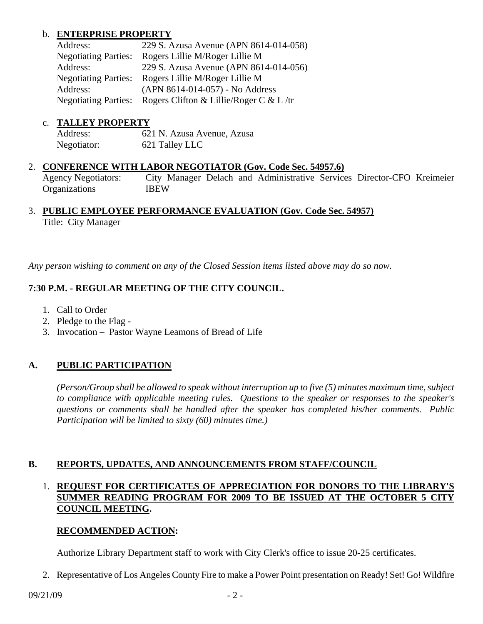# b. **ENTERPRISE PROPERTY**

| Address:                    | 229 S. Azusa Avenue (APN 8614-014-058)              |
|-----------------------------|-----------------------------------------------------|
| <b>Negotiating Parties:</b> | Rogers Lillie M/Roger Lillie M                      |
| Address:                    | 229 S. Azusa Avenue (APN 8614-014-056)              |
|                             | Negotiating Parties: Rogers Lillie M/Roger Lillie M |
| Address:                    | (APN 8614-014-057) - No Address                     |
| <b>Negotiating Parties:</b> | Rogers Clifton & Lillie/Roger C & L/tr              |

#### c. **TALLEY PROPERTY**

| Address:    | 621 N. Azusa Avenue, Azusa |
|-------------|----------------------------|
| Negotiator: | 621 Talley LLC             |

#### 2. **CONFERENCE WITH LABOR NEGOTIATOR (Gov. Code Sec. 54957.6)**

 Agency Negotiators: City Manager Delach and Administrative Services Director-CFO Kreimeier Organizations IBEW

# 3. **PUBLIC EMPLOYEE PERFORMANCE EVALUATION (Gov. Code Sec. 54957)** Title: City Manager

*Any person wishing to comment on any of the Closed Session items listed above may do so now.* 

# **7:30 P.M. - REGULAR MEETING OF THE CITY COUNCIL.**

- 1. Call to Order
- 2. Pledge to the Flag -
- 3. Invocation Pastor Wayne Leamons of Bread of Life

### **A. PUBLIC PARTICIPATION**

*(Person/Group shall be allowed to speak without interruption up to five (5) minutes maximum time, subject to compliance with applicable meeting rules. Questions to the speaker or responses to the speaker's questions or comments shall be handled after the speaker has completed his/her comments. Public Participation will be limited to sixty (60) minutes time.)* 

### **B. REPORTS, UPDATES, AND ANNOUNCEMENTS FROM STAFF/COUNCIL**

# 1. **REQUEST FOR CERTIFICATES OF APPRECIATION FOR DONORS TO THE LIBRARY'S SUMMER READING PROGRAM FOR 2009 TO BE ISSUED AT THE OCTOBER 5 CITY COUNCIL MEETING.**

### **RECOMMENDED ACTION:**

Authorize Library Department staff to work with City Clerk's office to issue 20-25 certificates.

2. Representative of Los Angeles County Fire to make a Power Point presentation on Ready! Set! Go! Wildfire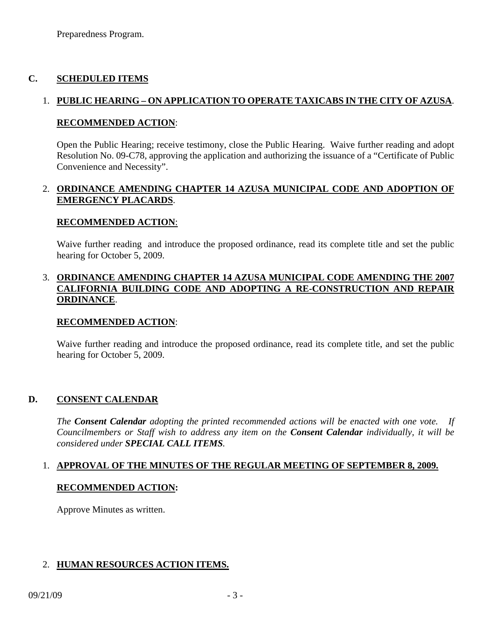# **C. SCHEDULED ITEMS**

# 1. **PUBLIC HEARING – ON APPLICATION TO OPERATE TAXICABS IN THE CITY OF AZUSA**.

#### **RECOMMENDED ACTION**:

Open the Public Hearing; receive testimony, close the Public Hearing. Waive further reading and adopt Resolution No. 09-C78, approving the application and authorizing the issuance of a "Certificate of Public Convenience and Necessity".

# 2. **ORDINANCE AMENDING CHAPTER 14 AZUSA MUNICIPAL CODE AND ADOPTION OF EMERGENCY PLACARDS**.

#### **RECOMMENDED ACTION**:

 Waive further reading and introduce the proposed ordinance, read its complete title and set the public hearing for October 5, 2009.

### 3. **ORDINANCE AMENDING CHAPTER 14 AZUSA MUNICIPAL CODE AMENDING THE 2007 CALIFORNIA BUILDING CODE AND ADOPTING A RE-CONSTRUCTION AND REPAIR ORDINANCE**.

### **RECOMMENDED ACTION**:

Waive further reading and introduce the proposed ordinance, read its complete title, and set the public hearing for October 5, 2009.

### **D. CONSENT CALENDAR**

*The Consent Calendar adopting the printed recommended actions will be enacted with one vote. If Councilmembers or Staff wish to address any item on the Consent Calendar individually, it will be considered under SPECIAL CALL ITEMS.* 

### 1. **APPROVAL OF THE MINUTES OF THE REGULAR MEETING OF SEPTEMBER 8, 2009.**

### **RECOMMENDED ACTION:**

Approve Minutes as written.

### 2. **HUMAN RESOURCES ACTION ITEMS.**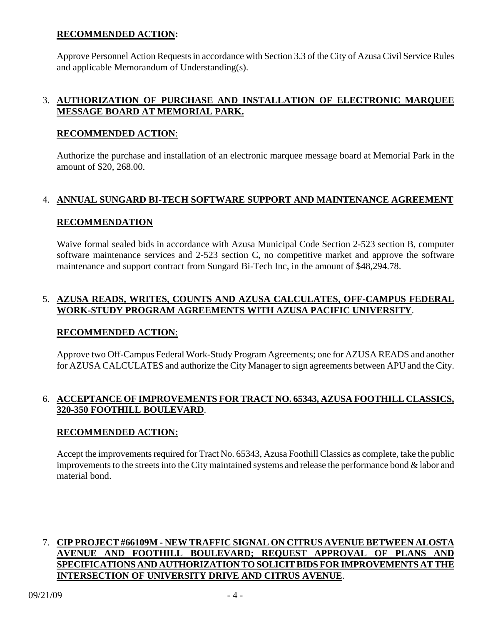# **RECOMMENDED ACTION:**

 Approve Personnel Action Requests in accordance with Section 3.3 of the City of Azusa Civil Service Rules and applicable Memorandum of Understanding(s).

# 3. **AUTHORIZATION OF PURCHASE AND INSTALLATION OF ELECTRONIC MARQUEE MESSAGE BOARD AT MEMORIAL PARK.**

### **RECOMMENDED ACTION**:

 Authorize the purchase and installation of an electronic marquee message board at Memorial Park in the amount of \$20, 268.00.

# 4. **ANNUAL SUNGARD BI-TECH SOFTWARE SUPPORT AND MAINTENANCE AGREEMENT**

### **RECOMMENDATION**

 Waive formal sealed bids in accordance with Azusa Municipal Code Section 2-523 section B, computer software maintenance services and 2-523 section C, no competitive market and approve the software maintenance and support contract from Sungard Bi-Tech Inc, in the amount of \$48,294.78.

# 5. **AZUSA READS, WRITES, COUNTS AND AZUSA CALCULATES, OFF-CAMPUS FEDERAL WORK-STUDY PROGRAM AGREEMENTS WITH AZUSA PACIFIC UNIVERSITY**.

### **RECOMMENDED ACTION**:

 Approve two Off-Campus Federal Work-Study Program Agreements; one for AZUSA READS and another for AZUSA CALCULATES and authorize the City Manager to sign agreements between APU and the City.

# 6. **ACCEPTANCE OF IMPROVEMENTS FOR TRACT NO. 65343, AZUSA FOOTHILL CLASSICS, 320-350 FOOTHILL BOULEVARD**.

# **RECOMMENDED ACTION:**

 Accept the improvements required for Tract No. 65343, Azusa Foothill Classics as complete, take the public improvements to the streets into the City maintained systems and release the performance bond & labor and material bond.

# 7. **CIP PROJECT #66109M - NEW TRAFFIC SIGNAL ON CITRUS AVENUE BETWEEN ALOSTA AVENUE AND FOOTHILL BOULEVARD; REQUEST APPROVAL OF PLANS AND SPECIFICATIONS AND AUTHORIZATION TO SOLICIT BIDS FOR IMPROVEMENTS AT THE INTERSECTION OF UNIVERSITY DRIVE AND CITRUS AVENUE**.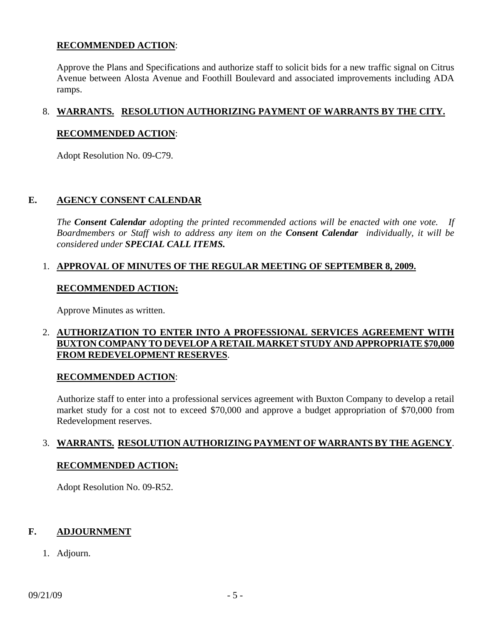# **RECOMMENDED ACTION**:

 Approve the Plans and Specifications and authorize staff to solicit bids for a new traffic signal on Citrus Avenue between Alosta Avenue and Foothill Boulevard and associated improvements including ADA ramps.

# 8. **WARRANTS. RESOLUTION AUTHORIZING PAYMENT OF WARRANTS BY THE CITY.**

#### **RECOMMENDED ACTION**:

Adopt Resolution No. 09-C79.

#### **E. AGENCY CONSENT CALENDAR**

 *The Consent Calendar adopting the printed recommended actions will be enacted with one vote. If Boardmembers or Staff wish to address any item on the Consent Calendar individually, it will be considered under SPECIAL CALL ITEMS.* 

### 1. **APPROVAL OF MINUTES OF THE REGULAR MEETING OF SEPTEMBER 8, 2009.**

#### **RECOMMENDED ACTION:**

Approve Minutes as written.

# 2. **AUTHORIZATION TO ENTER INTO A PROFESSIONAL SERVICES AGREEMENT WITH BUXTON COMPANY TO DEVELOP A RETAIL MARKET STUDY AND APPROPRIATE \$70,000 FROM REDEVELOPMENT RESERVES**.

### **RECOMMENDED ACTION**:

 Authorize staff to enter into a professional services agreement with Buxton Company to develop a retail market study for a cost not to exceed \$70,000 and approve a budget appropriation of \$70,000 from Redevelopment reserves.

### 3. **WARRANTS. RESOLUTION AUTHORIZING PAYMENT OF WARRANTS BY THE AGENCY**.

#### **RECOMMENDED ACTION:**

Adopt Resolution No. 09-R52.

#### **F. ADJOURNMENT**

1. Adjourn.